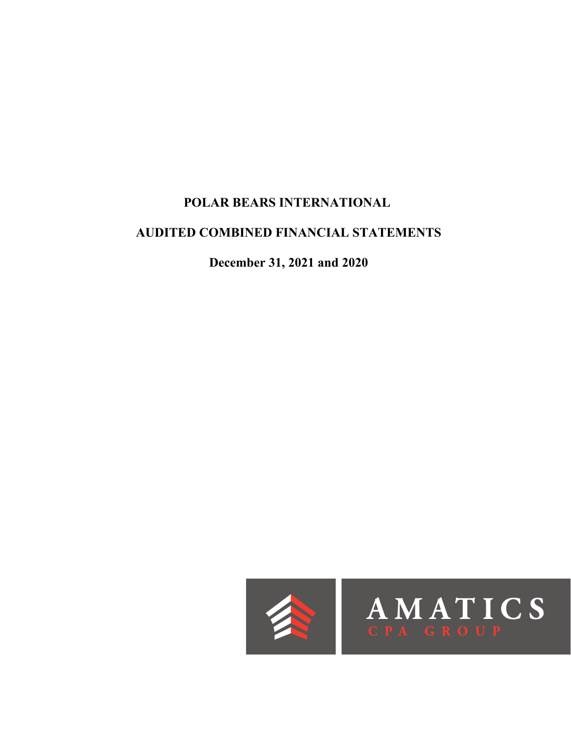# **POLAR BEARS INTERNATIONAL**

## **AUDITED COMBINED FINANCIAL STATEMENTS**

**December 31, 2021 and 2020**



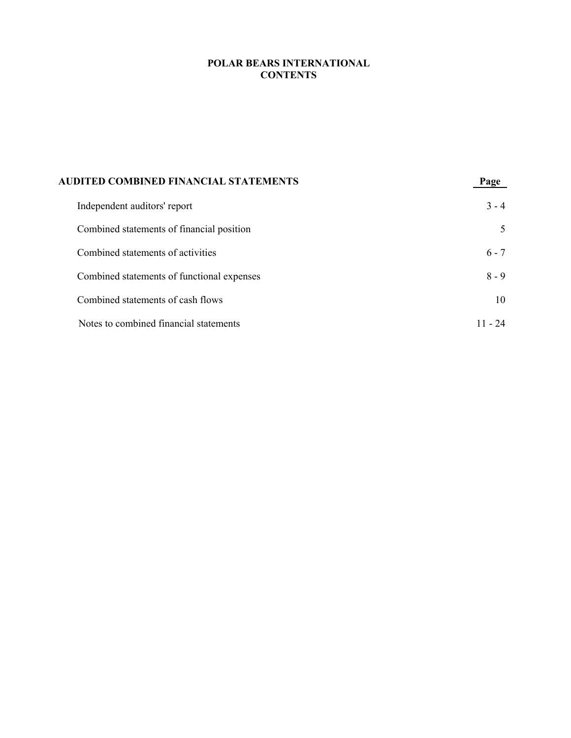## **POLAR BEARS INTERNATIONAL CONTENTS**

| AUDITED COMBINED FINANCIAL STATEMENTS      | Page          |
|--------------------------------------------|---------------|
| Independent auditors' report               | $3 - 4$       |
| Combined statements of financial position  | $\mathcal{F}$ |
| Combined statements of activities          | $6 - 7$       |
| Combined statements of functional expenses | $8 - 9$       |
| Combined statements of cash flows          | 10            |
| Notes to combined financial statements     | $-24$         |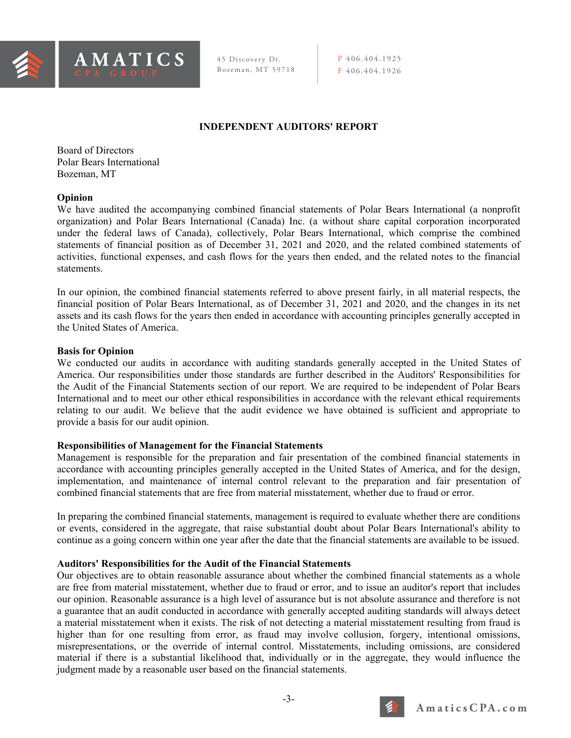

45 Discovery Dr. Bozeman, MT 59718 P 406.404.1925 F 406.404.1926

## **INDEPENDENT AUDITORS' REPORT**

Board of Directors Polar Bears International Bozeman, MT

## **Opinion**

We have audited the accompanying combined financial statements of Polar Bears International (a nonprofit organization) and Polar Bears International (Canada) Inc. (a without share capital corporation incorporated under the federal laws of Canada), collectively, Polar Bears International, which comprise the combined statements of financial position as of December 31, 2021 and 2020, and the related combined statements of activities, functional expenses, and cash flows for the years then ended, and the related notes to the financial statements.

In our opinion, the combined financial statements referred to above present fairly, in all material respects, the financial position of Polar Bears International, as of December 31, 2021 and 2020, and the changes in its net assets and its cash flows for the years then ended in accordance with accounting principles generally accepted in the United States of America.

## **Basis for Opinion**

We conducted our audits in accordance with auditing standards generally accepted in the United States of America. Our responsibilities under those standards are further described in the Auditors' Responsibilities for the Audit of the Financial Statements section of our report. We are required to be independent of Polar Bears International and to meet our other ethical responsibilities in accordance with the relevant ethical requirements relating to our audit. We believe that the audit evidence we have obtained is sufficient and appropriate to provide a basis for our audit opinion.

## **Responsibilities of Management for the Financial Statements**

Management is responsible for the preparation and fair presentation of the combined financial statements in accordance with accounting principles generally accepted in the United States of America, and for the design, implementation, and maintenance of internal control relevant to the preparation and fair presentation of combined financial statements that are free from material misstatement, whether due to fraud or error.

In preparing the combined financial statements, management is required to evaluate whether there are conditions or events, considered in the aggregate, that raise substantial doubt about Polar Bears International's ability to continue as a going concern within one year after the date that the financial statements are available to be issued.

## **Auditors' Responsibilities for the Audit of the Financial Statements**

Our objectives are to obtain reasonable assurance about whether the combined financial statements as a whole are free from material misstatement, whether due to fraud or error, and to issue an auditor's report that includes our opinion. Reasonable assurance is a high level of assurance but is not absolute assurance and therefore is not a guarantee that an audit conducted in accordance with generally accepted auditing standards will always detect a material misstatement when it exists. The risk of not detecting a material misstatement resulting from fraud is higher than for one resulting from error, as fraud may involve collusion, forgery, intentional omissions, misrepresentations, or the override of internal control. Misstatements, including omissions, are considered material if there is a substantial likelihood that, individually or in the aggregate, they would influence the judgment made by a reasonable user based on the financial statements.

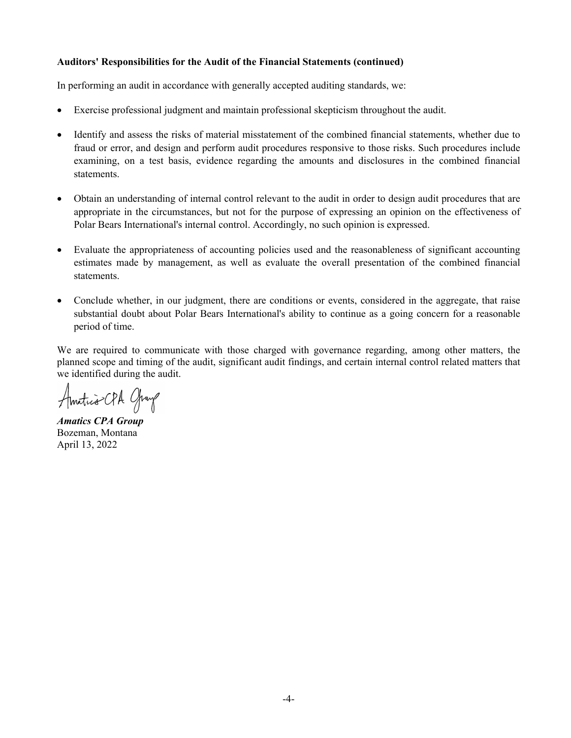## **Auditors' Responsibilities for the Audit of the Financial Statements (continued)**

In performing an audit in accordance with generally accepted auditing standards, we:

- Exercise professional judgment and maintain professional skepticism throughout the audit.
- Identify and assess the risks of material misstatement of the combined financial statements, whether due to fraud or error, and design and perform audit procedures responsive to those risks. Such procedures include examining, on a test basis, evidence regarding the amounts and disclosures in the combined financial statements.
- Obtain an understanding of internal control relevant to the audit in order to design audit procedures that are appropriate in the circumstances, but not for the purpose of expressing an opinion on the effectiveness of Polar Bears International's internal control. Accordingly, no such opinion is expressed.
- Evaluate the appropriateness of accounting policies used and the reasonableness of significant accounting estimates made by management, as well as evaluate the overall presentation of the combined financial statements.
- Conclude whether, in our judgment, there are conditions or events, considered in the aggregate, that raise substantial doubt about Polar Bears International's ability to continue as a going concern for a reasonable period of time.

We are required to communicate with those charged with governance regarding, among other matters, the planned scope and timing of the audit, significant audit findings, and certain internal control related matters that we identified during the audit.

Ametric CPA Gray

*Amatics CPA Group* Bozeman, Montana April 13, 2022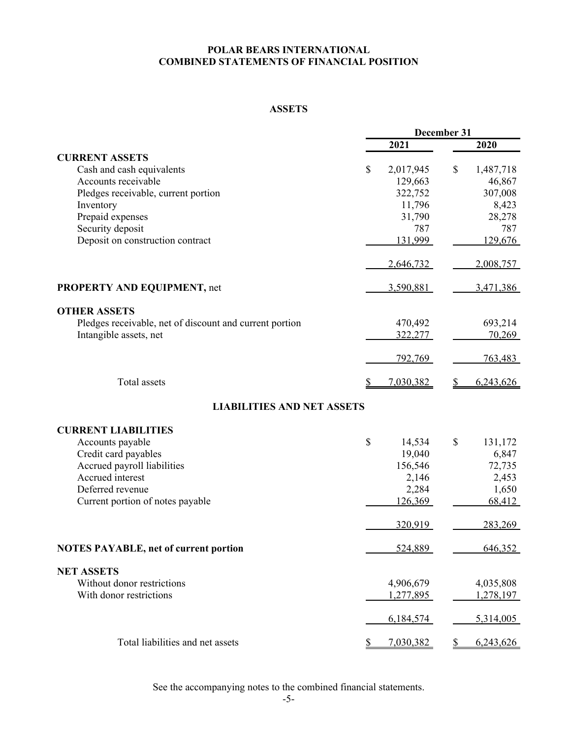## **POLAR BEARS INTERNATIONAL COMBINED STATEMENTS OF FINANCIAL POSITION**

## **ASSETS**

|                                                                                   | December 31 |           |    |                   |
|-----------------------------------------------------------------------------------|-------------|-----------|----|-------------------|
|                                                                                   |             | 2021      |    | 2020              |
| <b>CURRENT ASSETS</b>                                                             |             |           |    |                   |
| Cash and cash equivalents                                                         | \$          | 2,017,945 | \$ | 1,487,718         |
| Accounts receivable                                                               |             | 129,663   |    | 46,867            |
| Pledges receivable, current portion                                               |             | 322,752   |    | 307,008           |
| Inventory                                                                         |             | 11,796    |    | 8,423             |
| Prepaid expenses                                                                  |             | 31,790    |    | 28,278            |
| Security deposit                                                                  |             | 787       |    | 787               |
| Deposit on construction contract                                                  |             | 131,999   |    | 129,676           |
|                                                                                   |             | 2,646,732 |    | 2,008,757         |
| <b>PROPERTY AND EQUIPMENT, net</b>                                                |             | 3,590,881 |    | 3,471,386         |
|                                                                                   |             |           |    |                   |
| <b>OTHER ASSETS</b>                                                               |             | 470,492   |    |                   |
| Pledges receivable, net of discount and current portion<br>Intangible assets, net |             | 322,277   |    | 693,214<br>70,269 |
|                                                                                   |             |           |    |                   |
|                                                                                   |             | 792,769   |    | 763,483           |
| <b>Total</b> assets                                                               |             | 7,030,382 |    | 6,243,626         |
| <b>LIABILITIES AND NET ASSETS</b>                                                 |             |           |    |                   |
| <b>CURRENT LIABILITIES</b>                                                        |             |           |    |                   |
| Accounts payable                                                                  | \$          | 14,534    | \$ | 131,172           |
| Credit card payables                                                              |             | 19,040    |    | 6,847             |
| Accrued payroll liabilities                                                       |             | 156,546   |    | 72,735            |
| Accrued interest                                                                  |             | 2,146     |    | 2,453             |
| Deferred revenue                                                                  |             | 2,284     |    | 1,650             |
| Current portion of notes payable                                                  |             | 126,369   |    | 68,412            |
|                                                                                   |             | 320,919   |    | 283,269           |
|                                                                                   |             |           |    |                   |
| <b>NOTES PAYABLE, net of current portion</b>                                      |             | 524,889   |    | 646,352           |
| <b>NET ASSETS</b>                                                                 |             |           |    |                   |
| Without donor restrictions                                                        |             | 4,906,679 |    | 4,035,808         |
| With donor restrictions                                                           |             | 1,277,895 |    | 1,278,197         |
|                                                                                   |             | 6,184,574 |    | 5,314,005         |
| Total liabilities and net assets                                                  | \$          | 7,030,382 | \$ | 6,243,626         |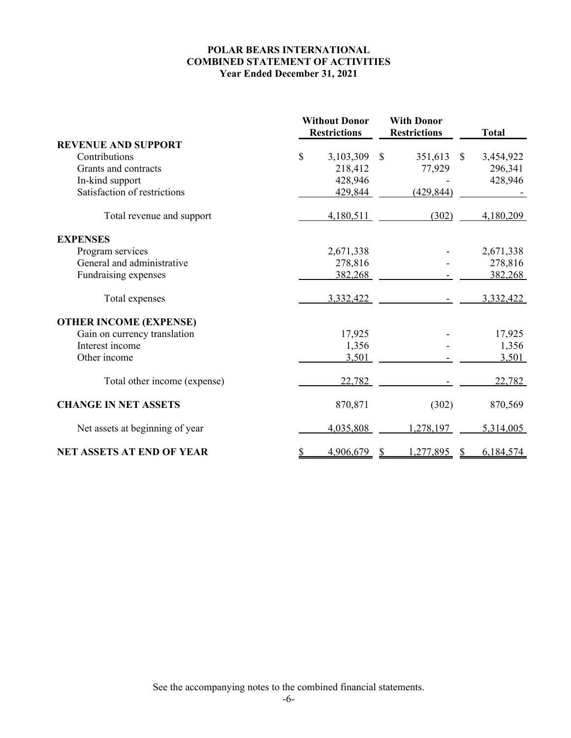## **POLAR BEARS INTERNATIONAL COMBINED STATEMENT OF ACTIVITIES Year Ended December 31, 2021**

|                                  | <b>Without Donor</b><br><b>Restrictions</b> | <b>With Donor</b><br><b>Restrictions</b> | <b>Total</b>               |
|----------------------------------|---------------------------------------------|------------------------------------------|----------------------------|
| <b>REVENUE AND SUPPORT</b>       |                                             |                                          |                            |
| Contributions                    | \$<br>3,103,309                             | $\mathbb{S}$<br>351,613                  | <sup>\$</sup><br>3,454,922 |
| Grants and contracts             | 218,412                                     | 77,929                                   | 296,341                    |
| In-kind support                  | 428,946                                     |                                          | 428,946                    |
| Satisfaction of restrictions     | 429,844                                     | (429, 844)                               |                            |
| Total revenue and support        | 4,180,511                                   | (302)                                    | 4,180,209                  |
| <b>EXPENSES</b>                  |                                             |                                          |                            |
| Program services                 | 2,671,338                                   |                                          | 2,671,338                  |
| General and administrative       | 278,816                                     |                                          | 278,816                    |
| Fundraising expenses             | 382,268                                     |                                          | 382,268                    |
| Total expenses                   | 3,332,422                                   |                                          | 3,332,422                  |
| <b>OTHER INCOME (EXPENSE)</b>    |                                             |                                          |                            |
| Gain on currency translation     | 17,925                                      |                                          | 17,925                     |
| Interest income                  | 1,356                                       |                                          | 1,356                      |
| Other income                     | 3,501                                       |                                          | 3,501                      |
| Total other income (expense)     | 22,782                                      |                                          | 22,782                     |
| <b>CHANGE IN NET ASSETS</b>      | 870,871                                     | (302)                                    | 870,569                    |
| Net assets at beginning of year  | 4,035,808                                   | 1,278,197                                | 5,314,005                  |
| <b>NET ASSETS AT END OF YEAR</b> | 4,906,679<br>S                              | 1,277,895                                | 6,184,574<br><b>S</b>      |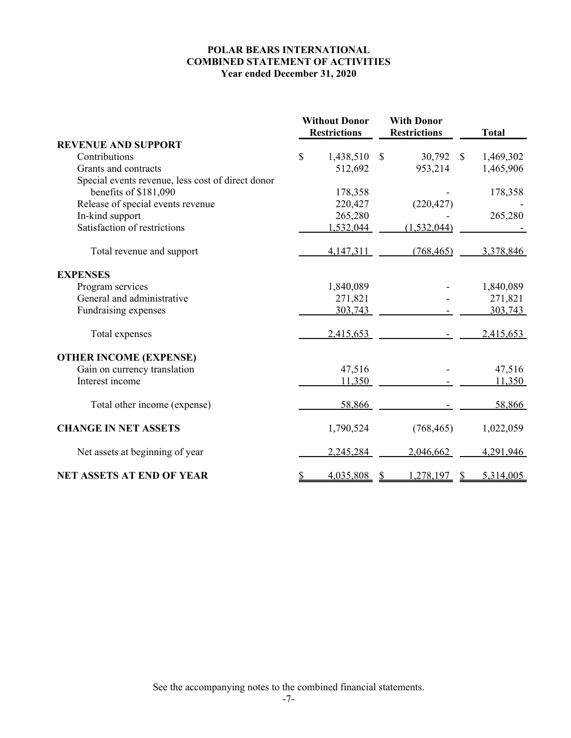## **POLAR BEARS INTERNATIONAL COMBINED STATEMENT OF ACTIVITIES Year ended December 31, 2020**

|                                                   | <b>Without Donor</b><br><b>Restrictions</b> |           | <b>With Donor</b><br><b>Restrictions</b> |             |               | <b>Total</b> |
|---------------------------------------------------|---------------------------------------------|-----------|------------------------------------------|-------------|---------------|--------------|
| <b>REVENUE AND SUPPORT</b>                        |                                             |           |                                          |             |               |              |
| Contributions                                     | \$                                          | 1,438,510 | $\mathcal{S}$                            | 30,792      | <sup>\$</sup> | 1,469,302    |
| Grants and contracts                              |                                             | 512,692   |                                          | 953,214     |               | 1,465,906    |
| Special events revenue, less cost of direct donor |                                             |           |                                          |             |               |              |
| benefits of \$181,090                             |                                             | 178,358   |                                          |             |               | 178,358      |
| Release of special events revenue                 |                                             | 220,427   |                                          | (220, 427)  |               |              |
| In-kind support                                   |                                             | 265,280   |                                          |             |               | 265,280      |
| Satisfaction of restrictions                      |                                             | 1,532,044 |                                          | (1,532,044) |               |              |
| Total revenue and support                         |                                             | 4,147,311 |                                          | (768, 465)  |               | 3,378,846    |
| <b>EXPENSES</b>                                   |                                             |           |                                          |             |               |              |
| Program services                                  |                                             | 1,840,089 |                                          |             |               | 1,840,089    |
| General and administrative                        |                                             | 271,821   |                                          |             |               | 271,821      |
| Fundraising expenses                              |                                             | 303,743   |                                          |             |               | 303,743      |
| Total expenses                                    |                                             | 2,415,653 |                                          |             |               | 2,415,653    |
| <b>OTHER INCOME (EXPENSE)</b>                     |                                             |           |                                          |             |               |              |
| Gain on currency translation                      |                                             | 47,516    |                                          |             |               | 47,516       |
| Interest income                                   |                                             | 11,350    |                                          |             |               | 11,350       |
| Total other income (expense)                      |                                             | 58,866    |                                          |             |               | 58,866       |
| <b>CHANGE IN NET ASSETS</b>                       |                                             | 1,790,524 |                                          | (768, 465)  |               | 1,022,059    |
| Net assets at beginning of year                   |                                             | 2,245,284 |                                          | 2,046,662   |               | 4,291,946    |
| <b>NET ASSETS AT END OF YEAR</b>                  |                                             | 4,035,808 | S                                        | 1,278,197   |               | 5,314,005    |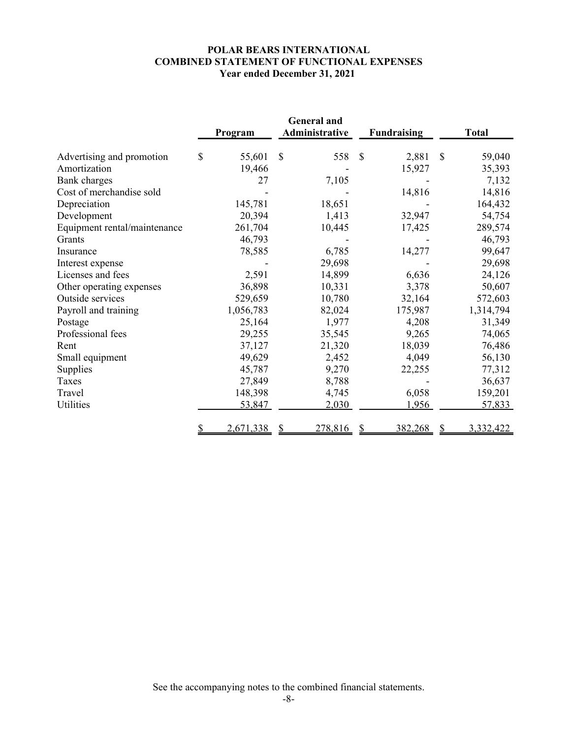## **POLAR BEARS INTERNATIONAL COMBINED STATEMENT OF FUNCTIONAL EXPENSES Year ended December 31, 2021**

|                              | Program   |           |              | <b>General</b> and<br>Administrative |               | <b>Fundraising</b> |              | <b>Total</b> |
|------------------------------|-----------|-----------|--------------|--------------------------------------|---------------|--------------------|--------------|--------------|
| Advertising and promotion    | \$        | 55,601    | $\mathbb{S}$ | 558                                  | $\mathcal{S}$ | 2,881              | $\mathbb{S}$ | 59,040       |
| Amortization                 |           | 19,466    |              |                                      |               | 15,927             |              | 35,393       |
| <b>Bank</b> charges          |           | 27        |              | 7,105                                |               |                    |              | 7,132        |
| Cost of merchandise sold     |           |           |              |                                      |               | 14,816             |              | 14,816       |
| Depreciation                 |           | 145,781   |              | 18,651                               |               |                    |              | 164,432      |
| Development                  |           | 20,394    |              | 1,413                                |               | 32,947             |              | 54,754       |
| Equipment rental/maintenance |           | 261,704   |              | 10,445                               |               | 17,425             |              | 289,574      |
| Grants                       |           | 46,793    |              |                                      |               |                    |              | 46,793       |
| Insurance                    |           | 78,585    |              | 6,785                                |               | 14,277             |              | 99,647       |
| Interest expense             |           |           |              | 29,698                               |               |                    |              | 29,698       |
| Licenses and fees            |           | 2,591     |              | 14,899                               |               | 6,636              |              | 24,126       |
| Other operating expenses     |           | 36,898    |              | 10,331                               |               | 3,378              |              | 50,607       |
| Outside services             |           | 529,659   |              | 10,780                               |               | 32,164             |              | 572,603      |
| Payroll and training         |           | 1,056,783 |              | 82,024                               |               | 175,987            |              | 1,314,794    |
| Postage                      |           | 25,164    |              | 1,977                                |               | 4,208              |              | 31,349       |
| Professional fees            |           | 29,255    |              | 35,545                               |               | 9,265              |              | 74,065       |
| Rent                         |           | 37,127    |              | 21,320                               |               | 18,039             |              | 76,486       |
| Small equipment              |           | 49,629    |              | 2,452                                |               | 4,049              |              | 56,130       |
| Supplies                     |           | 45,787    |              | 9,270                                |               | 22,255             |              | 77,312       |
| Taxes                        |           | 27,849    |              | 8,788                                |               |                    |              | 36,637       |
| Travel                       |           | 148,398   |              | 4,745                                |               | 6,058              |              | 159,201      |
| Utilities                    |           | 53,847    |              | 2,030                                |               | 1,956              |              | 57,833       |
|                              | <u>\$</u> | 2,671,338 | S            | 278,816                              | \$            | 382,268            | \$           | 3,332,422    |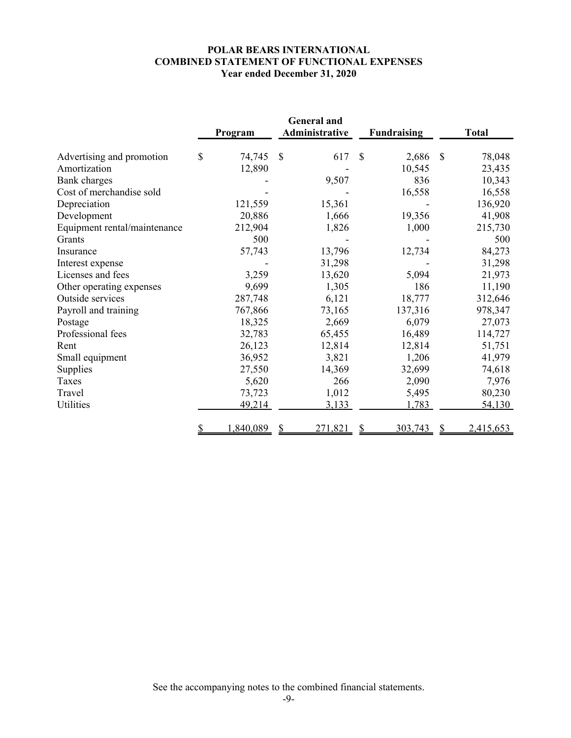## **POLAR BEARS INTERNATIONAL COMBINED STATEMENT OF FUNCTIONAL EXPENSES Year ended December 31, 2020**

|                              |           | Program   |               | <b>General</b> and<br>Administrative |               | <b>Fundraising</b> |               | <b>Total</b> |
|------------------------------|-----------|-----------|---------------|--------------------------------------|---------------|--------------------|---------------|--------------|
| Advertising and promotion    | \$        | 74,745    | $\mathcal{S}$ | 617                                  | $\mathcal{S}$ | 2,686              | $\mathcal{S}$ | 78,048       |
| Amortization                 |           | 12,890    |               |                                      |               | 10,545             |               | 23,435       |
| <b>Bank</b> charges          |           |           |               | 9,507                                |               | 836                |               | 10,343       |
| Cost of merchandise sold     |           |           |               |                                      |               | 16,558             |               | 16,558       |
| Depreciation                 |           | 121,559   |               | 15,361                               |               |                    |               | 136,920      |
| Development                  |           | 20,886    |               | 1,666                                |               | 19,356             |               | 41,908       |
| Equipment rental/maintenance |           | 212,904   |               | 1,826                                |               | 1,000              |               | 215,730      |
| Grants                       |           | 500       |               |                                      |               |                    |               | 500          |
| Insurance                    |           | 57,743    |               | 13,796                               |               | 12,734             |               | 84,273       |
| Interest expense             |           |           |               | 31,298                               |               |                    |               | 31,298       |
| Licenses and fees            |           | 3,259     |               | 13,620                               |               | 5,094              |               | 21,973       |
| Other operating expenses     |           | 9,699     |               | 1,305                                |               | 186                |               | 11,190       |
| Outside services             |           | 287,748   |               | 6,121                                |               | 18,777             |               | 312,646      |
| Payroll and training         |           | 767,866   |               | 73,165                               |               | 137,316            |               | 978,347      |
| Postage                      |           | 18,325    |               | 2,669                                |               | 6,079              |               | 27,073       |
| Professional fees            |           | 32,783    |               | 65,455                               |               | 16,489             |               | 114,727      |
| Rent                         |           | 26,123    |               | 12,814                               |               | 12,814             |               | 51,751       |
| Small equipment              |           | 36,952    |               | 3,821                                |               | 1,206              |               | 41,979       |
| Supplies                     |           | 27,550    |               | 14,369                               |               | 32,699             |               | 74,618       |
| Taxes                        |           | 5,620     |               | 266                                  |               | 2,090              |               | 7,976        |
| Travel                       |           | 73,723    |               | 1,012                                |               | 5,495              |               | 80,230       |
| Utilities                    |           | 49,214    |               | 3,133                                |               | 1,783              |               | 54,130       |
|                              | <u>\$</u> | 1,840,089 | \$            | 271,821                              |               | 303,743            |               | 2,415,653    |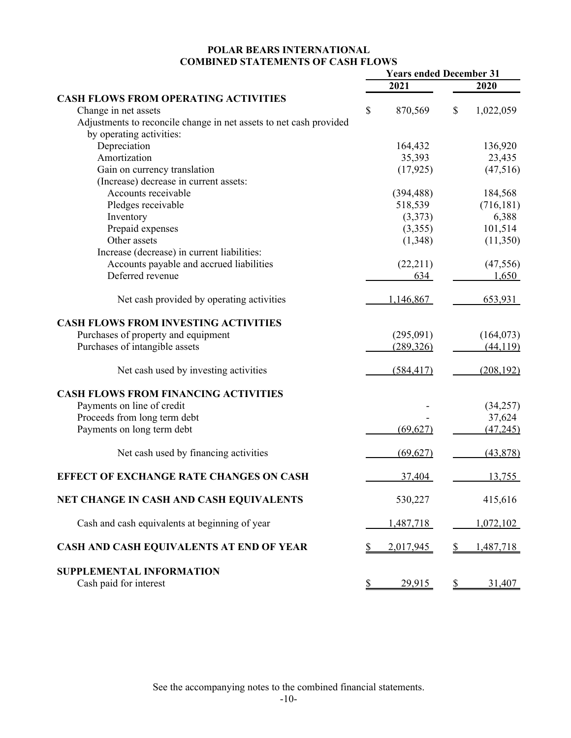## **POLAR BEARS INTERNATIONAL COMBINED STATEMENTS OF CASH FLOWS**

|                                                                    | <b>Years ended December 31</b> |            |               |            |
|--------------------------------------------------------------------|--------------------------------|------------|---------------|------------|
|                                                                    |                                | 2021       |               | 2020       |
| <b>CASH FLOWS FROM OPERATING ACTIVITIES</b>                        |                                |            |               |            |
| Change in net assets                                               | \$                             | 870,569    | \$            | 1,022,059  |
| Adjustments to reconcile change in net assets to net cash provided |                                |            |               |            |
| by operating activities:                                           |                                |            |               |            |
| Depreciation                                                       |                                | 164,432    |               | 136,920    |
| Amortization                                                       |                                | 35,393     |               | 23,435     |
| Gain on currency translation                                       |                                | (17, 925)  |               | (47,516)   |
| (Increase) decrease in current assets:                             |                                |            |               |            |
| Accounts receivable                                                |                                | (394, 488) |               | 184,568    |
| Pledges receivable                                                 |                                | 518,539    |               | (716, 181) |
| Inventory                                                          |                                | (3,373)    |               | 6,388      |
| Prepaid expenses                                                   |                                | (3,355)    |               | 101,514    |
| Other assets                                                       |                                | (1,348)    |               | (11,350)   |
| Increase (decrease) in current liabilities:                        |                                |            |               |            |
| Accounts payable and accrued liabilities                           |                                | (22,211)   |               | (47, 556)  |
| Deferred revenue                                                   |                                | 634        |               | 1,650      |
| Net cash provided by operating activities                          |                                | 1,146,867  |               | 653,931    |
| <b>CASH FLOWS FROM INVESTING ACTIVITIES</b>                        |                                |            |               |            |
| Purchases of property and equipment                                |                                | (295,091)  |               | (164, 073) |
| Purchases of intangible assets                                     |                                | (289, 326) |               | (44, 119)  |
| Net cash used by investing activities                              |                                | (584, 417) |               | (208, 192) |
| <b>CASH FLOWS FROM FINANCING ACTIVITIES</b>                        |                                |            |               |            |
| Payments on line of credit                                         |                                |            |               | (34,257)   |
| Proceeds from long term debt                                       |                                |            |               | 37,624     |
| Payments on long term debt                                         |                                | (69, 627)  |               | (47, 245)  |
| Net cash used by financing activities                              |                                | (69, 627)  |               | (43,878)   |
| <b>EFFECT OF EXCHANGE RATE CHANGES ON CASH</b>                     |                                | 37,404     |               | 13,755     |
| NET CHANGE IN CASH AND CASH EQUIVALENTS                            |                                | 530,227    |               | 415,616    |
| Cash and cash equivalents at beginning of year                     |                                | 1,487,718  |               | 1,072,102  |
| CASH AND CASH EQUIVALENTS AT END OF YEAR                           | \$                             | 2,017,945  | S             | 1,487,718  |
| <b>SUPPLEMENTAL INFORMATION</b><br>Cash paid for interest          | \$                             | 29,915     | $\frac{1}{2}$ | 31,407     |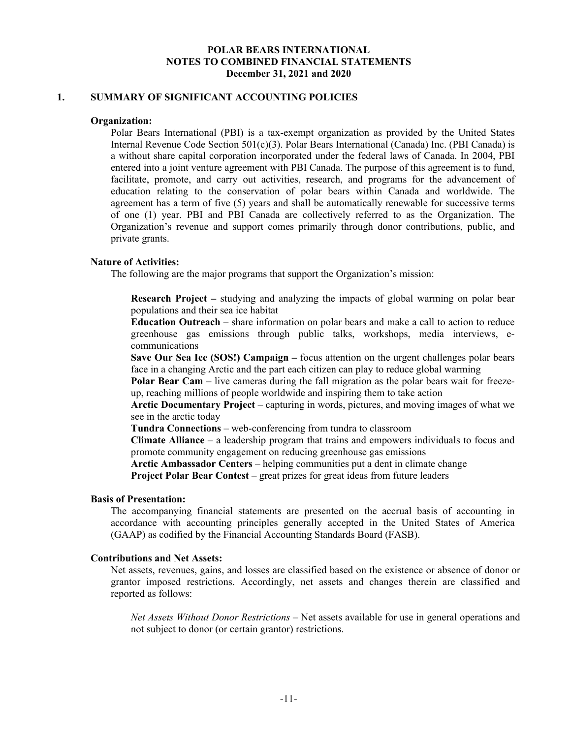## **1. SUMMARY OF SIGNIFICANT ACCOUNTING POLICIES**

#### **Organization:**

Polar Bears International (PBI) is a tax-exempt organization as provided by the United States Internal Revenue Code Section 501(c)(3). Polar Bears International (Canada) Inc. (PBI Canada) is a without share capital corporation incorporated under the federal laws of Canada. In 2004, PBI entered into a joint venture agreement with PBI Canada. The purpose of this agreement is to fund, facilitate, promote, and carry out activities, research, and programs for the advancement of education relating to the conservation of polar bears within Canada and worldwide. The agreement has a term of five (5) years and shall be automatically renewable for successive terms of one (1) year. PBI and PBI Canada are collectively referred to as the Organization. The Organization's revenue and support comes primarily through donor contributions, public, and private grants.

## **Nature of Activities:**

The following are the major programs that support the Organization's mission:

**Research Project –** studying and analyzing the impacts of global warming on polar bear populations and their sea ice habitat

**Education Outreach –** share information on polar bears and make a call to action to reduce greenhouse gas emissions through public talks, workshops, media interviews, ecommunications

**Save Our Sea Ice (SOS!) Campaign –** focus attention on the urgent challenges polar bears face in a changing Arctic and the part each citizen can play to reduce global warming

**Polar Bear Cam** – live cameras during the fall migration as the polar bears wait for freezeup, reaching millions of people worldwide and inspiring them to take action

Arctic Documentary Project – capturing in words, pictures, and moving images of what we see in the arctic today

**Tundra Connections** – web-conferencing from tundra to classroom

**Climate Alliance** – a leadership program that trains and empowers individuals to focus and promote community engagement on reducing greenhouse gas emissions

**Arctic Ambassador Centers** – helping communities put a dent in climate change

**Project Polar Bear Contest** – great prizes for great ideas from future leaders

## **Basis of Presentation:**

The accompanying financial statements are presented on the accrual basis of accounting in accordance with accounting principles generally accepted in the United States of America (GAAP) as codified by the Financial Accounting Standards Board (FASB).

## **Contributions and Net Assets:**

Net assets, revenues, gains, and losses are classified based on the existence or absence of donor or grantor imposed restrictions. Accordingly, net assets and changes therein are classified and reported as follows:

*Net Assets Without Donor Restrictions* – Net assets available for use in general operations and not subject to donor (or certain grantor) restrictions.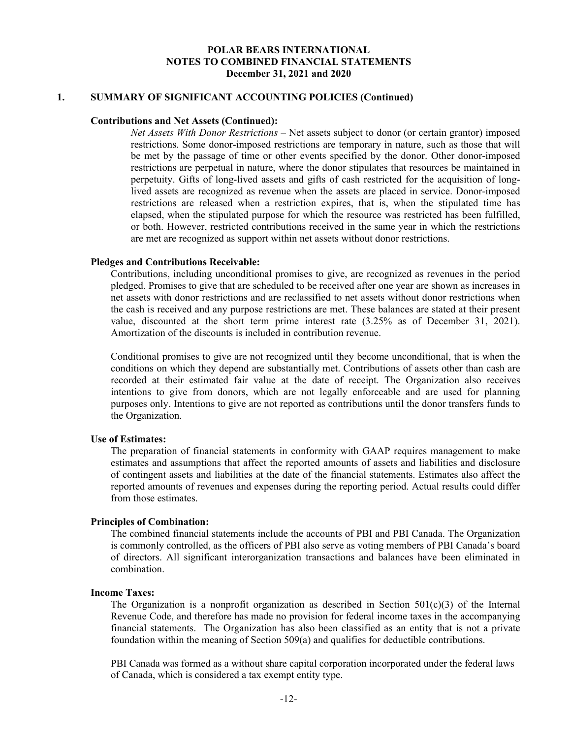## **1. SUMMARY OF SIGNIFICANT ACCOUNTING POLICIES (Continued)**

#### **Contributions and Net Assets (Continued):**

*Net Assets With Donor Restrictions* – Net assets subject to donor (or certain grantor) imposed restrictions. Some donor-imposed restrictions are temporary in nature, such as those that will be met by the passage of time or other events specified by the donor. Other donor-imposed restrictions are perpetual in nature, where the donor stipulates that resources be maintained in perpetuity. Gifts of long-lived assets and gifts of cash restricted for the acquisition of longlived assets are recognized as revenue when the assets are placed in service. Donor-imposed restrictions are released when a restriction expires, that is, when the stipulated time has elapsed, when the stipulated purpose for which the resource was restricted has been fulfilled, or both. However, restricted contributions received in the same year in which the restrictions are met are recognized as support within net assets without donor restrictions.

#### **Pledges and Contributions Receivable:**

Contributions, including unconditional promises to give, are recognized as revenues in the period pledged. Promises to give that are scheduled to be received after one year are shown as increases in net assets with donor restrictions and are reclassified to net assets without donor restrictions when the cash is received and any purpose restrictions are met. These balances are stated at their present value, discounted at the short term prime interest rate (3.25% as of December 31, 2021). Amortization of the discounts is included in contribution revenue.

Conditional promises to give are not recognized until they become unconditional, that is when the conditions on which they depend are substantially met. Contributions of assets other than cash are recorded at their estimated fair value at the date of receipt. The Organization also receives intentions to give from donors, which are not legally enforceable and are used for planning purposes only. Intentions to give are not reported as contributions until the donor transfers funds to the Organization.

#### **Use of Estimates:**

The preparation of financial statements in conformity with GAAP requires management to make estimates and assumptions that affect the reported amounts of assets and liabilities and disclosure of contingent assets and liabilities at the date of the financial statements. Estimates also affect the reported amounts of revenues and expenses during the reporting period. Actual results could differ from those estimates.

#### **Principles of Combination:**

The combined financial statements include the accounts of PBI and PBI Canada. The Organization is commonly controlled, as the officers of PBI also serve as voting members of PBI Canada's board of directors. All significant interorganization transactions and balances have been eliminated in combination.

#### **Income Taxes:**

The Organization is a nonprofit organization as described in Section  $501(c)(3)$  of the Internal Revenue Code, and therefore has made no provision for federal income taxes in the accompanying financial statements. The Organization has also been classified as an entity that is not a private foundation within the meaning of Section 509(a) and qualifies for deductible contributions.

PBI Canada was formed as a without share capital corporation incorporated under the federal laws of Canada, which is considered a tax exempt entity type.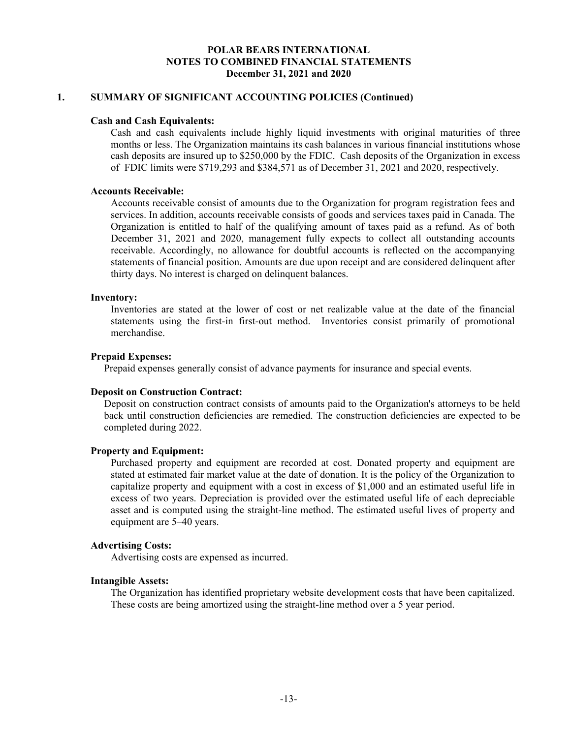## **1. SUMMARY OF SIGNIFICANT ACCOUNTING POLICIES (Continued)**

#### **Cash and Cash Equivalents:**

Cash and cash equivalents include highly liquid investments with original maturities of three months or less. The Organization maintains its cash balances in various financial institutions whose cash deposits are insured up to \$250,000 by the FDIC. Cash deposits of the Organization in excess of FDIC limits were \$719,293 and \$384,571 as of December 31, 2021 and 2020, respectively.

#### **Accounts Receivable:**

Accounts receivable consist of amounts due to the Organization for program registration fees and services. In addition, accounts receivable consists of goods and services taxes paid in Canada. The Organization is entitled to half of the qualifying amount of taxes paid as a refund. As of both December 31, 2021 and 2020, management fully expects to collect all outstanding accounts receivable. Accordingly, no allowance for doubtful accounts is reflected on the accompanying statements of financial position. Amounts are due upon receipt and are considered delinquent after thirty days. No interest is charged on delinquent balances.

#### **Inventory:**

Inventories are stated at the lower of cost or net realizable value at the date of the financial statements using the first-in first-out method. Inventories consist primarily of promotional merchandise.

#### **Prepaid Expenses:**

Prepaid expenses generally consist of advance payments for insurance and special events.

#### **Deposit on Construction Contract:**

Deposit on construction contract consists of amounts paid to the Organization's attorneys to be held back until construction deficiencies are remedied. The construction deficiencies are expected to be completed during 2022.

## **Property and Equipment:**

Purchased property and equipment are recorded at cost. Donated property and equipment are stated at estimated fair market value at the date of donation. It is the policy of the Organization to capitalize property and equipment with a cost in excess of \$1,000 and an estimated useful life in excess of two years. Depreciation is provided over the estimated useful life of each depreciable asset and is computed using the straight-line method. The estimated useful lives of property and equipment are 5–40 years.

#### **Advertising Costs:**

Advertising costs are expensed as incurred.

#### **Intangible Assets:**

The Organization has identified proprietary website development costs that have been capitalized. These costs are being amortized using the straight-line method over a 5 year period.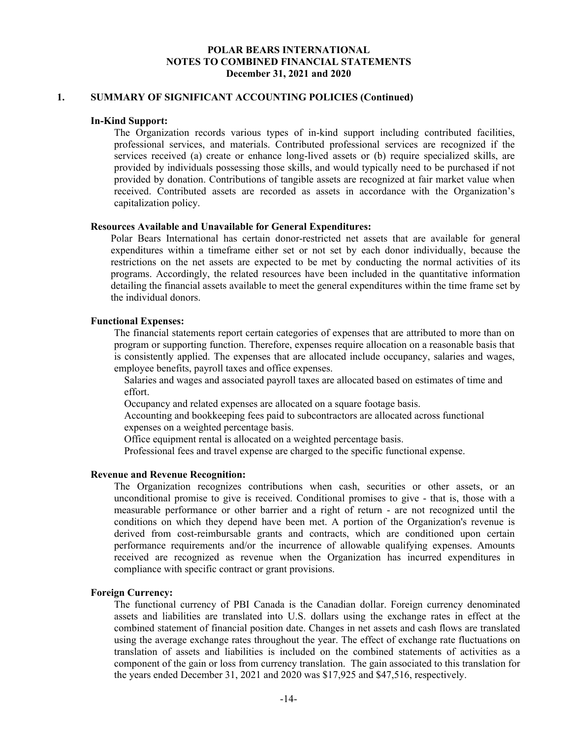## **1. SUMMARY OF SIGNIFICANT ACCOUNTING POLICIES (Continued)**

#### **In-Kind Support:**

The Organization records various types of in-kind support including contributed facilities, professional services, and materials. Contributed professional services are recognized if the services received (a) create or enhance long-lived assets or (b) require specialized skills, are provided by individuals possessing those skills, and would typically need to be purchased if not provided by donation. Contributions of tangible assets are recognized at fair market value when received. Contributed assets are recorded as assets in accordance with the Organization's capitalization policy.

#### **Resources Available and Unavailable for General Expenditures:**

Polar Bears International has certain donor-restricted net assets that are available for general expenditures within a timeframe either set or not set by each donor individually, because the restrictions on the net assets are expected to be met by conducting the normal activities of its programs. Accordingly, the related resources have been included in the quantitative information detailing the financial assets available to meet the general expenditures within the time frame set by the individual donors.

#### **Functional Expenses:**

The financial statements report certain categories of expenses that are attributed to more than on program or supporting function. Therefore, expenses require allocation on a reasonable basis that is consistently applied. The expenses that are allocated include occupancy, salaries and wages, employee benefits, payroll taxes and office expenses.

Salaries and wages and associated payroll taxes are allocated based on estimates of time and effort.

Occupancy and related expenses are allocated on a square footage basis.

Accounting and bookkeeping fees paid to subcontractors are allocated across functional expenses on a weighted percentage basis.

Office equipment rental is allocated on a weighted percentage basis.

Professional fees and travel expense are charged to the specific functional expense.

#### **Revenue and Revenue Recognition:**

The Organization recognizes contributions when cash, securities or other assets, or an unconditional promise to give is received. Conditional promises to give - that is, those with a measurable performance or other barrier and a right of return - are not recognized until the conditions on which they depend have been met. A portion of the Organization's revenue is derived from cost-reimbursable grants and contracts, which are conditioned upon certain performance requirements and/or the incurrence of allowable qualifying expenses. Amounts received are recognized as revenue when the Organization has incurred expenditures in compliance with specific contract or grant provisions.

#### **Foreign Currency:**

The functional currency of PBI Canada is the Canadian dollar. Foreign currency denominated assets and liabilities are translated into U.S. dollars using the exchange rates in effect at the combined statement of financial position date. Changes in net assets and cash flows are translated using the average exchange rates throughout the year. The effect of exchange rate fluctuations on translation of assets and liabilities is included on the combined statements of activities as a component of the gain or loss from currency translation. The gain associated to this translation for the years ended December 31, 2021 and 2020 was \$17,925 and \$47,516, respectively.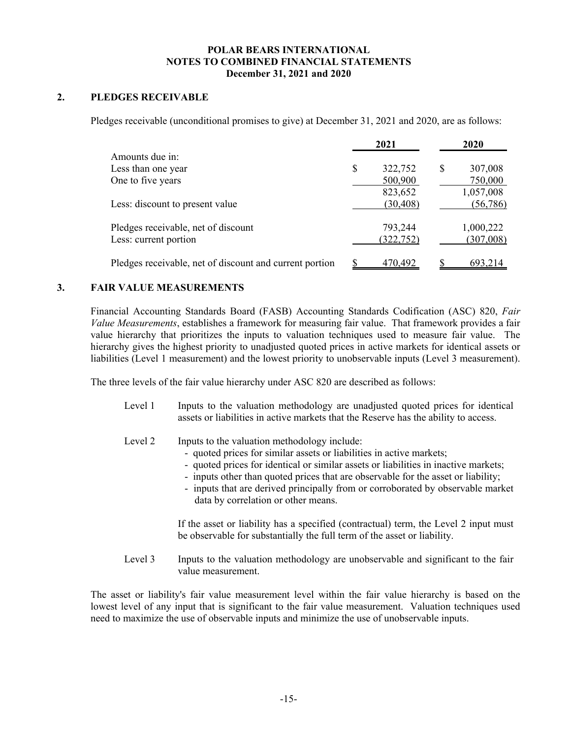## **2. PLEDGES RECEIVABLE**

Pledges receivable (unconditional promises to give) at December 31, 2021 and 2020, are as follows:

|                                                         | 2021          |   | 2020      |
|---------------------------------------------------------|---------------|---|-----------|
| Amounts due in:                                         |               |   |           |
| Less than one year                                      | \$<br>322,752 | S | 307,008   |
| One to five years                                       | 500,900       |   | 750,000   |
|                                                         | 823,652       |   | 1,057,008 |
| Less: discount to present value                         | (30, 408)     |   | (56, 786) |
| Pledges receivable, net of discount                     | 793,244       |   | 1,000,222 |
| Less: current portion                                   | (322, 752)    |   | (307,008) |
| Pledges receivable, net of discount and current portion | 470,492       |   | 693,214   |

## **3. FAIR VALUE MEASUREMENTS**

Financial Accounting Standards Board (FASB) Accounting Standards Codification (ASC) 820, *Fair Value Measurements*, establishes a framework for measuring fair value. That framework provides a fair value hierarchy that prioritizes the inputs to valuation techniques used to measure fair value. The hierarchy gives the highest priority to unadjusted quoted prices in active markets for identical assets or liabilities (Level 1 measurement) and the lowest priority to unobservable inputs (Level 3 measurement).

The three levels of the fair value hierarchy under ASC 820 are described as follows:

- Level 1 Inputs to the valuation methodology are unadjusted quoted prices for identical assets or liabilities in active markets that the Reserve has the ability to access.
- Level 2 Inputs to the valuation methodology include:
	- quoted prices for similar assets or liabilities in active markets;
	- quoted prices for identical or similar assets or liabilities in inactive markets;
	- inputs other than quoted prices that are observable for the asset or liability;
	- inputs that are derived principally from or corroborated by observable market data by correlation or other means.

If the asset or liability has a specified (contractual) term, the Level 2 input must be observable for substantially the full term of the asset or liability.

Level 3 Inputs to the valuation methodology are unobservable and significant to the fair value measurement.

The asset or liability's fair value measurement level within the fair value hierarchy is based on the lowest level of any input that is significant to the fair value measurement. Valuation techniques used need to maximize the use of observable inputs and minimize the use of unobservable inputs.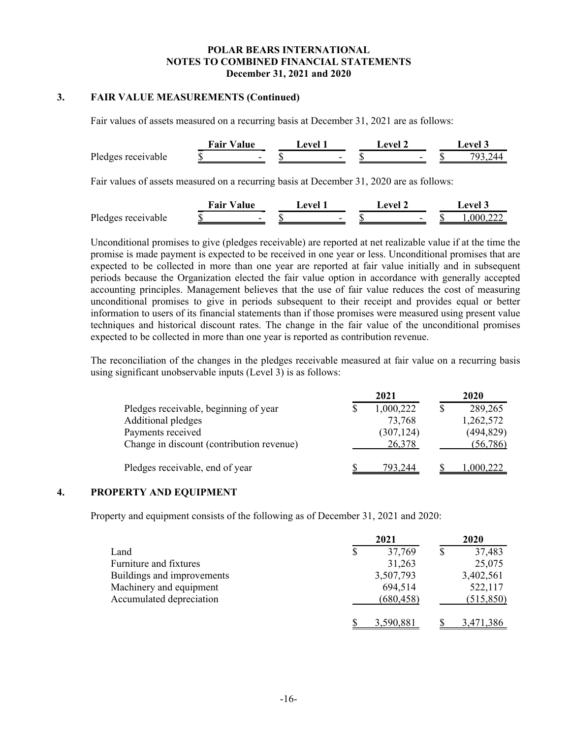## **3. FAIR VALUE MEASUREMENTS (Continued)**

Fair values of assets measured on a recurring basis at December 31, 2021 are as follows:

|                    | <b>Fair Value</b> | evel. | avel ( |  | evel 3 |
|--------------------|-------------------|-------|--------|--|--------|
| Pledges receivable | -                 | -     |        |  | ،∆י    |

Fair values of assets measured on a recurring basis at December 31, 2020 are as follows:

|                    | Fair Value | evel                     | $\alpha v \alpha$ | $\alpha$ and $\gamma$ |
|--------------------|------------|--------------------------|-------------------|-----------------------|
| Pledges receivable | -          | $\overline{\phantom{0}}$ | -                 | nn                    |

Unconditional promises to give (pledges receivable) are reported at net realizable value if at the time the promise is made payment is expected to be received in one year or less. Unconditional promises that are expected to be collected in more than one year are reported at fair value initially and in subsequent periods because the Organization elected the fair value option in accordance with generally accepted accounting principles. Management believes that the use of fair value reduces the cost of measuring unconditional promises to give in periods subsequent to their receipt and provides equal or better information to users of its financial statements than if those promises were measured using present value techniques and historical discount rates. The change in the fair value of the unconditional promises expected to be collected in more than one year is reported as contribution revenue.

The reconciliation of the changes in the pledges receivable measured at fair value on a recurring basis using significant unobservable inputs (Level 3) is as follows:

|                                           | 2021       |   | 2020       |
|-------------------------------------------|------------|---|------------|
| Pledges receivable, beginning of year     | 1,000,222  | S | 289,265    |
| Additional pledges                        | 73,768     |   | 1,262,572  |
| Payments received                         | (307, 124) |   | (494, 829) |
| Change in discount (contribution revenue) | 26,378     |   | (56, 786)  |
| Pledges receivable, end of year           | 793.244    |   | 1,000,222  |

## **4. PROPERTY AND EQUIPMENT**

Property and equipment consists of the following as of December 31, 2021 and 2020:

|                            | 2021         | 2020       |
|----------------------------|--------------|------------|
| Land                       | \$<br>37,769 | 37,483     |
| Furniture and fixtures     | 31,263       | 25,075     |
| Buildings and improvements | 3,507,793    | 3,402,561  |
| Machinery and equipment    | 694,514      | 522,117    |
| Accumulated depreciation   | (680, 458)   | (515, 850) |
|                            | 3,590,881    | 3,471,386  |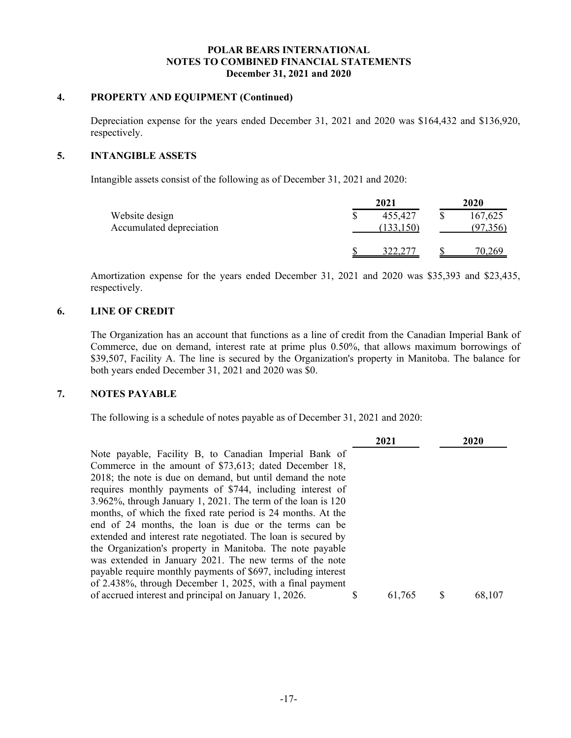## **4. PROPERTY AND EQUIPMENT (Continued)**

Depreciation expense for the years ended December 31, 2021 and 2020 was \$164,432 and \$136,920, respectively.

## **5. INTANGIBLE ASSETS**

Intangible assets consist of the following as of December 31, 2021 and 2020:

|                                            | 2021                  |  |                     |
|--------------------------------------------|-----------------------|--|---------------------|
| Website design<br>Accumulated depreciation | 455,427<br>(133, 150) |  | 167,625<br>(97,356) |
|                                            | 322.27                |  | . 0,269             |

Amortization expense for the years ended December 31, 2021 and 2020 was \$35,393 and \$23,435, respectively.

## **6. LINE OF CREDIT**

The Organization has an account that functions as a line of credit from the Canadian Imperial Bank of Commerce, due on demand, interest rate at prime plus 0.50%, that allows maximum borrowings of \$39,507, Facility A. The line is secured by the Organization's property in Manitoba. The balance for both years ended December 31, 2021 and 2020 was \$0.

## **7. NOTES PAYABLE**

The following is a schedule of notes payable as of December 31, 2021 and 2020:

|                                                               | 2021   |   | 2020   |
|---------------------------------------------------------------|--------|---|--------|
| Note payable, Facility B, to Canadian Imperial Bank of        |        |   |        |
| Commerce in the amount of \$73,613; dated December 18,        |        |   |        |
| 2018; the note is due on demand, but until demand the note    |        |   |        |
| requires monthly payments of \$744, including interest of     |        |   |        |
| 3.962%, through January 1, 2021. The term of the loan is 120  |        |   |        |
| months, of which the fixed rate period is 24 months. At the   |        |   |        |
| end of 24 months, the loan is due or the terms can be         |        |   |        |
| extended and interest rate negotiated. The loan is secured by |        |   |        |
| the Organization's property in Manitoba. The note payable     |        |   |        |
| was extended in January 2021. The new terms of the note       |        |   |        |
| payable require monthly payments of \$697, including interest |        |   |        |
| of 2.438%, through December 1, 2025, with a final payment     |        |   |        |
| of accrued interest and principal on January 1, 2026.         | 61.765 | S | 68,107 |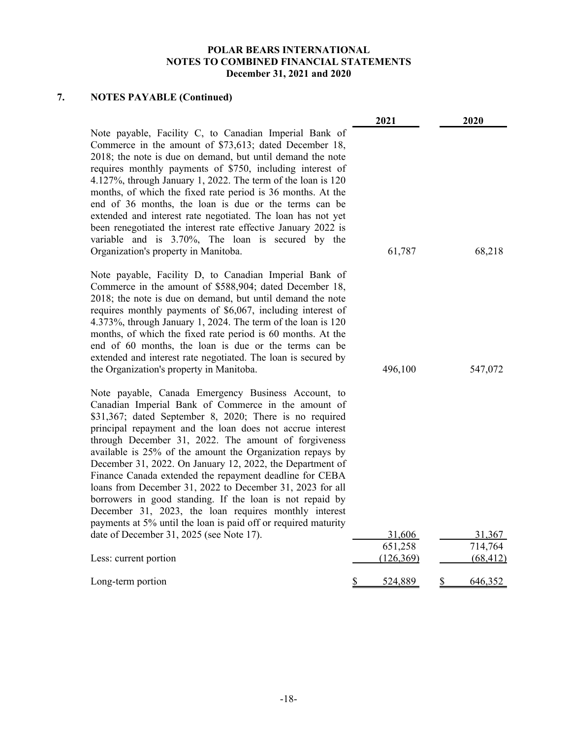## **7. NOTES PAYABLE (Continued)**

|                                                                                                                                                                                                                                                                                                                                                                                                                                                                                                                                                                                                                                                                                                                                                                                 | 2021                 | 2020                 |
|---------------------------------------------------------------------------------------------------------------------------------------------------------------------------------------------------------------------------------------------------------------------------------------------------------------------------------------------------------------------------------------------------------------------------------------------------------------------------------------------------------------------------------------------------------------------------------------------------------------------------------------------------------------------------------------------------------------------------------------------------------------------------------|----------------------|----------------------|
| Note payable, Facility C, to Canadian Imperial Bank of<br>Commerce in the amount of \$73,613; dated December 18,<br>2018; the note is due on demand, but until demand the note<br>requires monthly payments of \$750, including interest of<br>4.127%, through January 1, 2022. The term of the loan is 120<br>months, of which the fixed rate period is 36 months. At the<br>end of 36 months, the loan is due or the terms can be<br>extended and interest rate negotiated. The loan has not yet<br>been renegotiated the interest rate effective January 2022 is<br>variable and is 3.70%, The loan is secured by the<br>Organization's property in Manitoba.                                                                                                                | 61,787               | 68,218               |
| Note payable, Facility D, to Canadian Imperial Bank of<br>Commerce in the amount of \$588,904; dated December 18,<br>2018; the note is due on demand, but until demand the note<br>requires monthly payments of \$6,067, including interest of<br>4.373%, through January 1, 2024. The term of the loan is 120<br>months, of which the fixed rate period is 60 months. At the<br>end of 60 months, the loan is due or the terms can be<br>extended and interest rate negotiated. The loan is secured by<br>the Organization's property in Manitoba.                                                                                                                                                                                                                             | 496,100              | 547,072              |
| Note payable, Canada Emergency Business Account, to<br>Canadian Imperial Bank of Commerce in the amount of<br>\$31,367; dated September 8, 2020; There is no required<br>principal repayment and the loan does not accrue interest<br>through December 31, 2022. The amount of forgiveness<br>available is 25% of the amount the Organization repays by<br>December 31, 2022. On January 12, 2022, the Department of<br>Finance Canada extended the repayment deadline for CEBA<br>loans from December 31, 2022 to December 31, 2023 for all<br>borrowers in good standing. If the loan is not repaid by<br>December 31, 2023, the loan requires monthly interest<br>payments at 5% until the loan is paid off or required maturity<br>date of December 31, 2025 (see Note 17). | 31,606               | 31,367               |
| Less: current portion                                                                                                                                                                                                                                                                                                                                                                                                                                                                                                                                                                                                                                                                                                                                                           | 651,258<br>(126,369) | 714,764<br>(68, 412) |
| Long-term portion                                                                                                                                                                                                                                                                                                                                                                                                                                                                                                                                                                                                                                                                                                                                                               | 524,889<br>\$        | \$<br>646,352        |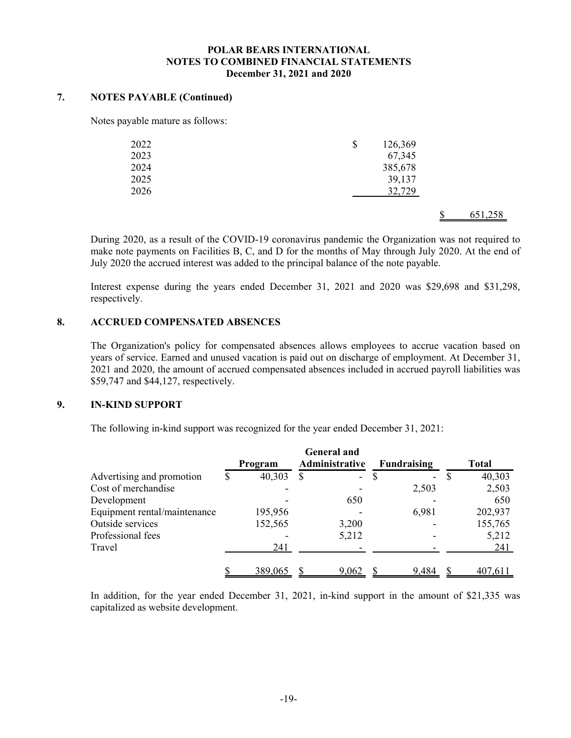## **7. NOTES PAYABLE (Continued)**

Notes payable mature as follows:

| 2022 | \$<br>126,369 |
|------|---------------|
| 2023 | 67,345        |
| 2024 | 385,678       |
| 2025 | 39,137        |
| 2026 | 32,729        |
|      |               |

 $$ 651,258$ 

During 2020, as a result of the COVID-19 coronavirus pandemic the Organization was not required to make note payments on Facilities B, C, and D for the months of May through July 2020. At the end of July 2020 the accrued interest was added to the principal balance of the note payable.

Interest expense during the years ended December 31, 2021 and 2020 was \$29,698 and \$31,298, respectively.

## **8. ACCRUED COMPENSATED ABSENCES**

The Organization's policy for compensated absences allows employees to accrue vacation based on years of service. Earned and unused vacation is paid out on discharge of employment. At December 31, 2021 and 2020, the amount of accrued compensated absences included in accrued payroll liabilities was \$59,747 and \$44,127, respectively.

## **9. IN-KIND SUPPORT**

The following in-kind support was recognized for the year ended December 31, 2021:

|                              |              | <b>General</b> and  |                          |              |
|------------------------------|--------------|---------------------|--------------------------|--------------|
|                              | Program      | Administrative      | Fundraising              | <b>Total</b> |
| Advertising and promotion    | \$<br>40,303 | S<br>$\blacksquare$ | $\overline{\phantom{a}}$ | 40,303       |
| Cost of merchandise          |              |                     | 2,503                    | 2,503        |
| Development                  |              | 650                 |                          | 650          |
| Equipment rental/maintenance | 195,956      |                     | 6,981                    | 202,937      |
| Outside services             | 152,565      | 3,200               |                          | 155,765      |
| Professional fees            |              | 5,212               |                          | 5,212        |
| Travel                       | 241          |                     |                          | 241          |
|                              | 389,065      | 9,062               | 9,484                    | 407,611      |

In addition, for the year ended December 31, 2021, in-kind support in the amount of \$21,335 was capitalized as website development.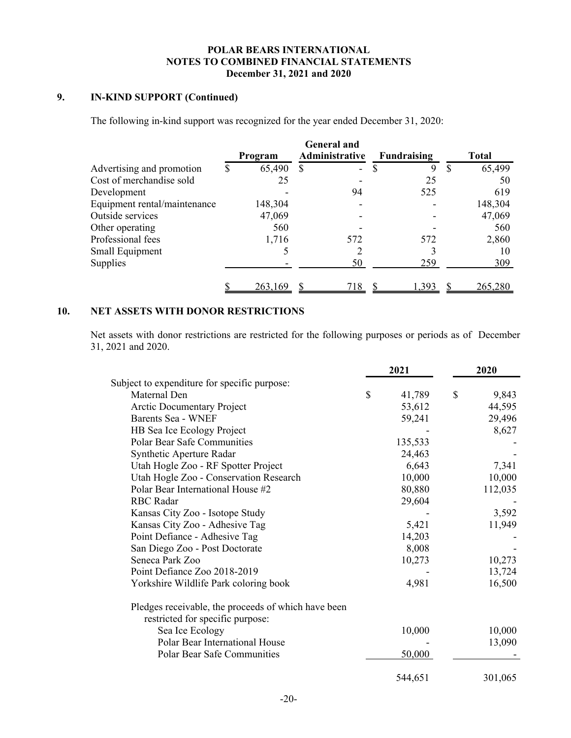## **9. IN-KIND SUPPORT (Continued)**

The following in-kind support was recognized for the year ended December 31, 2020:

|                              | Program      | <b>General</b> and<br>Administrative | <b>Fundraising</b> |   | <b>Total</b> |
|------------------------------|--------------|--------------------------------------|--------------------|---|--------------|
| Advertising and promotion    | \$<br>65,490 | <sup>\$</sup><br>$\blacksquare$      | 9                  | S | 65,499       |
| Cost of merchandise sold     | 25           |                                      | 25                 |   | 50           |
| Development                  |              | 94                                   | 525                |   | 619          |
| Equipment rental/maintenance | 148,304      |                                      |                    |   | 148,304      |
| Outside services             | 47,069       |                                      |                    |   | 47,069       |
| Other operating              | 560          |                                      |                    |   | 560          |
| Professional fees            | 1,716        | 572                                  | 572                |   | 2,860        |
| Small Equipment              |              |                                      |                    |   | 10           |
| Supplies                     |              | 50                                   | 259                |   | 309          |
|                              | 263,169      | 718                                  | 1,393              |   | 265,280      |

## **10. NET ASSETS WITH DONOR RESTRICTIONS**

Net assets with donor restrictions are restricted for the following purposes or periods as of December 31, 2021 and 2020.

|                                                                                         | 2021         |              | 2020    |
|-----------------------------------------------------------------------------------------|--------------|--------------|---------|
| Subject to expenditure for specific purpose:                                            |              |              |         |
| Maternal Den                                                                            | \$<br>41,789 | $\mathbb{S}$ | 9,843   |
| <b>Arctic Documentary Project</b>                                                       | 53,612       |              | 44,595  |
| Barents Sea - WNEF                                                                      | 59,241       |              | 29,496  |
| HB Sea Ice Ecology Project                                                              |              |              | 8,627   |
| <b>Polar Bear Safe Communities</b>                                                      | 135,533      |              |         |
| Synthetic Aperture Radar                                                                | 24,463       |              |         |
| Utah Hogle Zoo - RF Spotter Project                                                     | 6,643        |              | 7,341   |
| Utah Hogle Zoo - Conservation Research                                                  | 10,000       |              | 10,000  |
| Polar Bear International House #2                                                       | 80,880       |              | 112,035 |
| <b>RBC</b> Radar                                                                        | 29,604       |              |         |
| Kansas City Zoo - Isotope Study                                                         |              |              | 3,592   |
| Kansas City Zoo - Adhesive Tag                                                          | 5,421        |              | 11,949  |
| Point Defiance - Adhesive Tag                                                           | 14,203       |              |         |
| San Diego Zoo - Post Doctorate                                                          | 8,008        |              |         |
| Seneca Park Zoo                                                                         | 10,273       |              | 10,273  |
| Point Defiance Zoo 2018-2019                                                            |              |              | 13,724  |
| Yorkshire Wildlife Park coloring book                                                   | 4,981        |              | 16,500  |
| Pledges receivable, the proceeds of which have been<br>restricted for specific purpose: |              |              |         |
| Sea Ice Ecology                                                                         | 10,000       |              | 10,000  |
| Polar Bear International House                                                          |              |              | 13,090  |
| <b>Polar Bear Safe Communities</b>                                                      | 50,000       |              |         |
|                                                                                         | 544,651      |              | 301,065 |
|                                                                                         |              |              |         |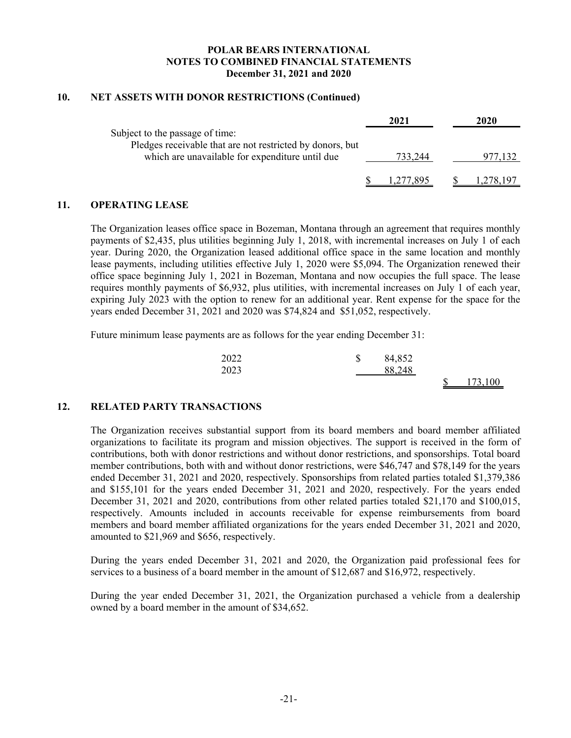## **10. NET ASSETS WITH DONOR RESTRICTIONS (Continued)**

|                                                                                                              | 2021    |  | 2020    |
|--------------------------------------------------------------------------------------------------------------|---------|--|---------|
| Subject to the passage of time:                                                                              |         |  |         |
| Pledges receivable that are not restricted by donors, but<br>which are unavailable for expenditure until due | 733.244 |  | 977.132 |
|                                                                                                              |         |  |         |

## **11. OPERATING LEASE**

The Organization leases office space in Bozeman, Montana through an agreement that requires monthly payments of \$2,435, plus utilities beginning July 1, 2018, with incremental increases on July 1 of each year. During 2020, the Organization leased additional office space in the same location and monthly lease payments, including utilities effective July 1, 2020 were \$5,094. The Organization renewed their office space beginning July 1, 2021 in Bozeman, Montana and now occupies the full space. The lease requires monthly payments of \$6,932, plus utilities, with incremental increases on July 1 of each year, expiring July 2023 with the option to renew for an additional year. Rent expense for the space for the years ended December 31, 2021 and 2020 was \$74,824 and \$51,052, respectively.

Future minimum lease payments are as follows for the year ending December 31:

| 2022 | \$<br>84,852 |         |
|------|--------------|---------|
| 2023 | 88,248       |         |
|      |              | 173,100 |

## **12. RELATED PARTY TRANSACTIONS**

The Organization receives substantial support from its board members and board member affiliated organizations to facilitate its program and mission objectives. The support is received in the form of contributions, both with donor restrictions and without donor restrictions, and sponsorships. Total board member contributions, both with and without donor restrictions, were \$46,747 and \$78,149 for the years ended December 31, 2021 and 2020, respectively. Sponsorships from related parties totaled \$1,379,386 and \$155,101 for the years ended December 31, 2021 and 2020, respectively. For the years ended December 31, 2021 and 2020, contributions from other related parties totaled \$21,170 and \$100,015, respectively. Amounts included in accounts receivable for expense reimbursements from board members and board member affiliated organizations for the years ended December 31, 2021 and 2020, amounted to \$21,969 and \$656, respectively.

During the years ended December 31, 2021 and 2020, the Organization paid professional fees for services to a business of a board member in the amount of \$12,687 and \$16,972, respectively.

During the year ended December 31, 2021, the Organization purchased a vehicle from a dealership owned by a board member in the amount of \$34,652.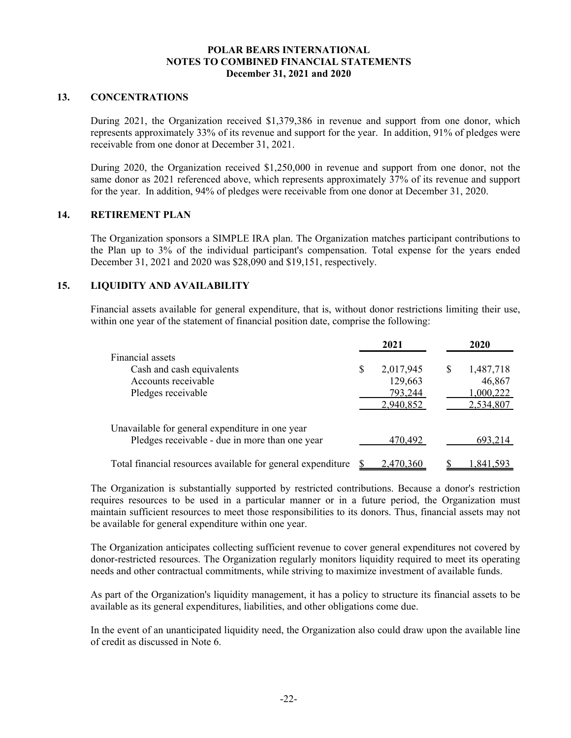## **13. CONCENTRATIONS**

During 2021, the Organization received \$1,379,386 in revenue and support from one donor, which represents approximately 33% of its revenue and support for the year. In addition, 91% of pledges were receivable from one donor at December 31, 2021.

During 2020, the Organization received \$1,250,000 in revenue and support from one donor, not the same donor as 2021 referenced above, which represents approximately 37% of its revenue and support for the year. In addition, 94% of pledges were receivable from one donor at December 31, 2020.

## **14. RETIREMENT PLAN**

The Organization sponsors a SIMPLE IRA plan. The Organization matches participant contributions to the Plan up to 3% of the individual participant's compensation. Total expense for the years ended December 31, 2021 and 2020 was \$28,090 and \$19,151, respectively.

## **15. LIQUIDITY AND AVAILABILITY**

Financial assets available for general expenditure, that is, without donor restrictions limiting their use, within one year of the statement of financial position date, comprise the following:

|                                                             | 2021            |   | 2020      |
|-------------------------------------------------------------|-----------------|---|-----------|
| Financial assets                                            |                 |   |           |
| Cash and cash equivalents                                   | \$<br>2,017,945 | S | 1,487,718 |
| Accounts receivable                                         | 129,663         |   | 46,867    |
| Pledges receivable                                          | 793,244         |   | 1,000,222 |
|                                                             | 2,940,852       |   | 2,534,807 |
| Unavailable for general expenditure in one year             |                 |   |           |
| Pledges receivable - due in more than one year              | 470,492         |   | 693,214   |
| Total financial resources available for general expenditure | 2,470,360       |   | 1,841,593 |

The Organization is substantially supported by restricted contributions. Because a donor's restriction requires resources to be used in a particular manner or in a future period, the Organization must maintain sufficient resources to meet those responsibilities to its donors. Thus, financial assets may not be available for general expenditure within one year.

The Organization anticipates collecting sufficient revenue to cover general expenditures not covered by donor-restricted resources. The Organization regularly monitors liquidity required to meet its operating needs and other contractual commitments, while striving to maximize investment of available funds.

As part of the Organization's liquidity management, it has a policy to structure its financial assets to be available as its general expenditures, liabilities, and other obligations come due.

In the event of an unanticipated liquidity need, the Organization also could draw upon the available line of credit as discussed in Note 6.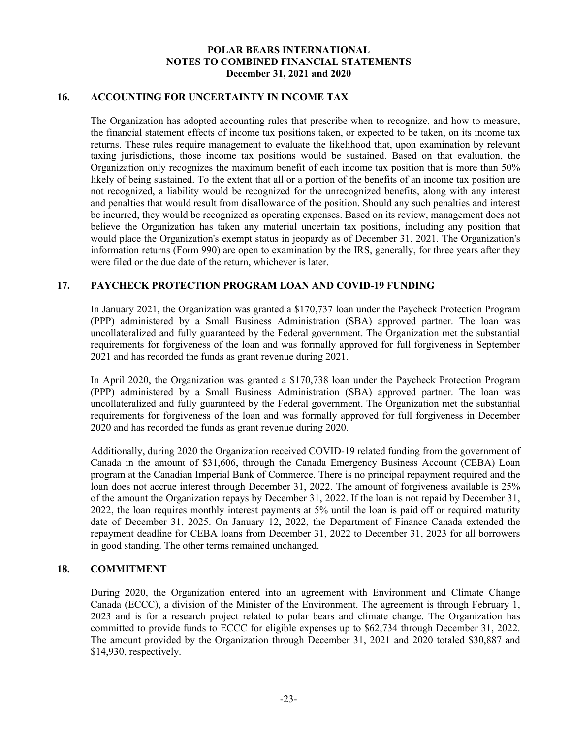## **16. ACCOUNTING FOR UNCERTAINTY IN INCOME TAX**

The Organization has adopted accounting rules that prescribe when to recognize, and how to measure, the financial statement effects of income tax positions taken, or expected to be taken, on its income tax returns. These rules require management to evaluate the likelihood that, upon examination by relevant taxing jurisdictions, those income tax positions would be sustained. Based on that evaluation, the Organization only recognizes the maximum benefit of each income tax position that is more than 50% likely of being sustained. To the extent that all or a portion of the benefits of an income tax position are not recognized, a liability would be recognized for the unrecognized benefits, along with any interest and penalties that would result from disallowance of the position. Should any such penalties and interest be incurred, they would be recognized as operating expenses. Based on its review, management does not believe the Organization has taken any material uncertain tax positions, including any position that would place the Organization's exempt status in jeopardy as of December 31, 2021. The Organization's information returns (Form 990) are open to examination by the IRS, generally, for three years after they were filed or the due date of the return, whichever is later.

## **17. PAYCHECK PROTECTION PROGRAM LOAN AND COVID-19 FUNDING**

In January 2021, the Organization was granted a \$170,737 loan under the Paycheck Protection Program (PPP) administered by a Small Business Administration (SBA) approved partner. The loan was uncollateralized and fully guaranteed by the Federal government. The Organization met the substantial requirements for forgiveness of the loan and was formally approved for full forgiveness in September 2021 and has recorded the funds as grant revenue during 2021.

In April 2020, the Organization was granted a \$170,738 loan under the Paycheck Protection Program (PPP) administered by a Small Business Administration (SBA) approved partner. The loan was uncollateralized and fully guaranteed by the Federal government. The Organization met the substantial requirements for forgiveness of the loan and was formally approved for full forgiveness in December 2020 and has recorded the funds as grant revenue during 2020.

Additionally, during 2020 the Organization received COVID-19 related funding from the government of Canada in the amount of \$31,606, through the Canada Emergency Business Account (CEBA) Loan program at the Canadian Imperial Bank of Commerce. There is no principal repayment required and the loan does not accrue interest through December 31, 2022. The amount of forgiveness available is 25% of the amount the Organization repays by December 31, 2022. If the loan is not repaid by December 31, 2022, the loan requires monthly interest payments at 5% until the loan is paid off or required maturity date of December 31, 2025. On January 12, 2022, the Department of Finance Canada extended the repayment deadline for CEBA loans from December 31, 2022 to December 31, 2023 for all borrowers in good standing. The other terms remained unchanged.

## **18. COMMITMENT**

During 2020, the Organization entered into an agreement with Environment and Climate Change Canada (ECCC), a division of the Minister of the Environment. The agreement is through February 1, 2023 and is for a research project related to polar bears and climate change. The Organization has committed to provide funds to ECCC for eligible expenses up to \$62,734 through December 31, 2022. The amount provided by the Organization through December 31, 2021 and 2020 totaled \$30,887 and \$14,930, respectively.